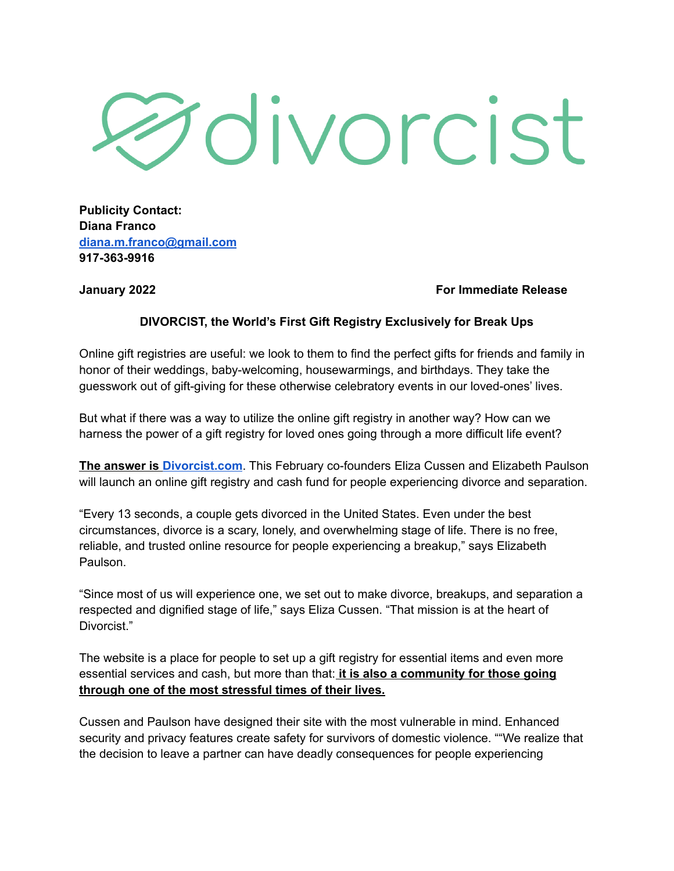## **Oivorcist**

**Publicity Contact: Diana Franco [diana.m.franco@gmail.com](mailto:diana.m.franco@gmail.com) 917-363-9916**

**January 2022 For Immediate Release**

## **DIVORCIST, the World's First Gift Registry Exclusively for Break Ups**

Online gift registries are useful: we look to them to find the perfect gifts for friends and family in honor of their weddings, baby-welcoming, housewarmings, and birthdays. They take the guesswork out of gift-giving for these otherwise celebratory events in our loved-ones' lives.

But what if there was a way to utilize the online gift registry in another way? How can we harness the power of a gift registry for loved ones going through a more difficult life event?

**The answer is [Divorcist.com](http://divorcist.com)**. This February co-founders Eliza Cussen and Elizabeth Paulson will launch an online gift registry and cash fund for people experiencing divorce and separation.

"Every 13 seconds, a couple gets divorced in the United States. Even under the best circumstances, divorce is a scary, lonely, and overwhelming stage of life. There is no free, reliable, and trusted online resource for people experiencing a breakup," says Elizabeth Paulson.

"Since most of us will experience one, we set out to make divorce, breakups, and separation a respected and dignified stage of life," says Eliza Cussen. "That mission is at the heart of Divorcist."

The website is a place for people to set up a gift registry for essential items and even more essential services and cash, but more than that: **it is also a community for those going through one of the most stressful times of their lives.**

Cussen and Paulson have designed their site with the most vulnerable in mind. Enhanced security and privacy features create safety for survivors of domestic violence. ""We realize that the decision to leave a partner can have deadly consequences for people experiencing